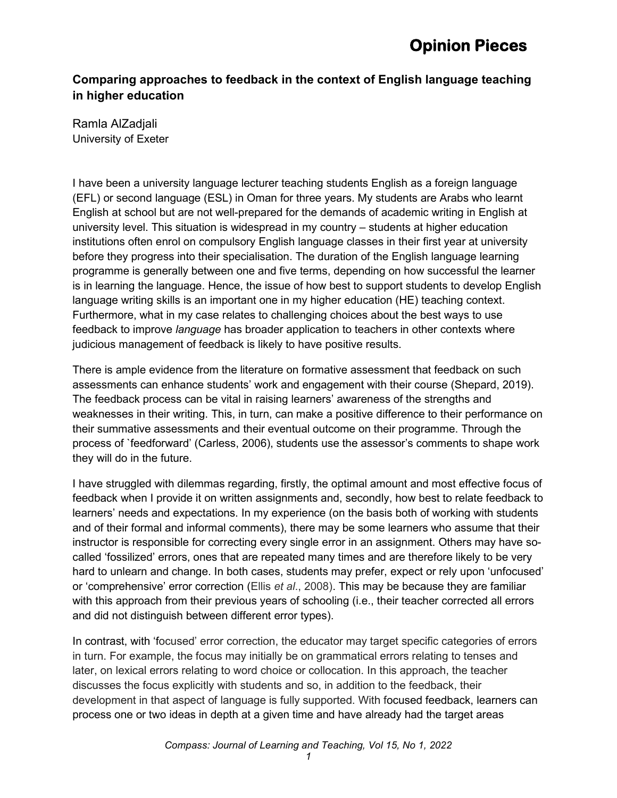#### **Comparing approaches to feedback in the context of English language teaching in higher education**

Ramla AlZadjali University of Exeter

I have been a university language lecturer teaching students English as a foreign language (EFL) or second language (ESL) in Oman for three years. My students are Arabs who learnt English at school but are not well-prepared for the demands of academic writing in English at university level. This situation is widespread in my country – students at higher education institutions often enrol on compulsory English language classes in their first year at university before they progress into their specialisation. The duration of the English language learning programme is generally between one and five terms, depending on how successful the learner is in learning the language. Hence, the issue of how best to support students to develop English language writing skills is an important one in my higher education (HE) teaching context. Furthermore, what in my case relates to challenging choices about the best ways to use feedback to improve *language* has broader application to teachers in other contexts where judicious management of feedback is likely to have positive results.

There is ample evidence from the literature on formative assessment that feedback on such assessments can enhance students' work and engagement with their course (Shepard, 2019). The feedback process can be vital in raising learners' awareness of the strengths and weaknesses in their writing. This, in turn, can make a positive difference to their performance on their summative assessments and their eventual outcome on their programme. Through the process of `feedforward' (Carless, 2006), students use the assessor's comments to shape work they will do in the future.

I have struggled with dilemmas regarding, firstly, the optimal amount and most effective focus of feedback when I provide it on written assignments and, secondly, how best to relate feedback to learners' needs and expectations. In my experience (on the basis both of working with students and of their formal and informal comments), there may be some learners who assume that their instructor is responsible for correcting every single error in an assignment. Others may have socalled 'fossilized' errors, ones that are repeated many times and are therefore likely to be very hard to unlearn and change. In both cases, students may prefer, expect or rely upon 'unfocused' or 'comprehensive' error correction (Ellis *et al*., 2008). This may be because they are familiar with this approach from their previous years of schooling (i.e., their teacher corrected all errors and did not distinguish between different error types).

In contrast, with 'focused' error correction, the educator may target specific categories of errors in turn. For example, the focus may initially be on grammatical errors relating to tenses and later, on lexical errors relating to word choice or collocation. In this approach, the teacher discusses the focus explicitly with students and so, in addition to the feedback, their development in that aspect of language is fully supported. With focused feedback, learners can process one or two ideas in depth at a given time and have already had the target areas

*1*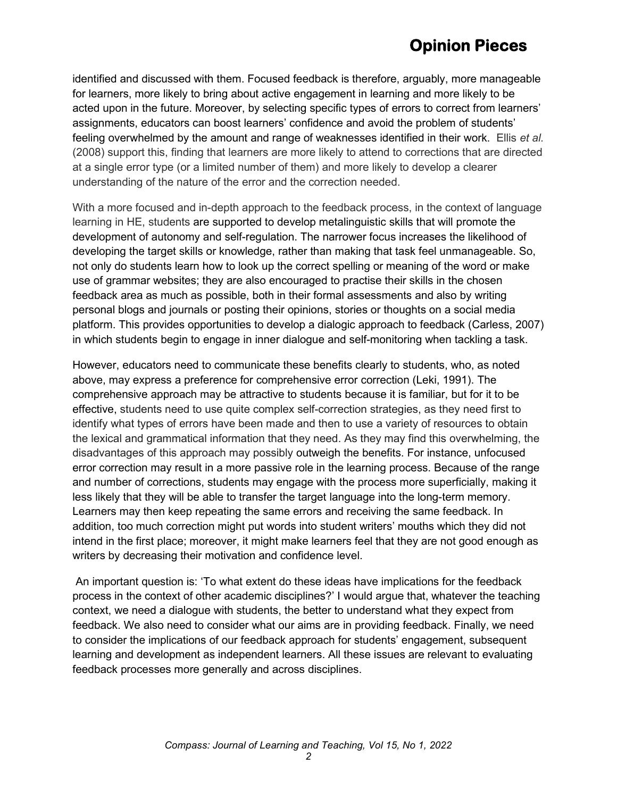### **Opinion Pieces**

identified and discussed with them. Focused feedback is therefore, arguably, more manageable for learners, more likely to bring about active engagement in learning and more likely to be acted upon in the future. Moreover, by selecting specific types of errors to correct from learners' assignments, educators can boost learners' confidence and avoid the problem of students' feeling overwhelmed by the amount and range of weaknesses identified in their work. Ellis *et al.* (2008) support this, finding that learners are more likely to attend to corrections that are directed at a single error type (or a limited number of them) and more likely to develop a clearer understanding of the nature of the error and the correction needed.

With a more focused and in-depth approach to the feedback process, in the context of language learning in HE, students are supported to develop metalinguistic skills that will promote the development of autonomy and self-regulation. The narrower focus increases the likelihood of developing the target skills or knowledge, rather than making that task feel unmanageable. So, not only do students learn how to look up the correct spelling or meaning of the word or make use of grammar websites; they are also encouraged to practise their skills in the chosen feedback area as much as possible, both in their formal assessments and also by writing personal blogs and journals or posting their opinions, stories or thoughts on a social media platform. This provides opportunities to develop a dialogic approach to feedback (Carless, 2007) in which students begin to engage in inner dialogue and self-monitoring when tackling a task.

However, educators need to communicate these benefits clearly to students, who, as noted above, may express a preference for comprehensive error correction (Leki, 1991). The comprehensive approach may be attractive to students because it is familiar, but for it to be effective, students need to use quite complex self-correction strategies, as they need first to identify what types of errors have been made and then to use a variety of resources to obtain the lexical and grammatical information that they need. As they may find this overwhelming, the disadvantages of this approach may possibly outweigh the benefits. For instance, unfocused error correction may result in a more passive role in the learning process. Because of the range and number of corrections, students may engage with the process more superficially, making it less likely that they will be able to transfer the target language into the long-term memory. Learners may then keep repeating the same errors and receiving the same feedback. In addition, too much correction might put words into student writers' mouths which they did not intend in the first place; moreover, it might make learners feel that they are not good enough as writers by decreasing their motivation and confidence level.

An important question is: 'To what extent do these ideas have implications for the feedback process in the context of other academic disciplines?' I would argue that, whatever the teaching context, we need a dialogue with students, the better to understand what they expect from feedback. We also need to consider what our aims are in providing feedback. Finally, we need to consider the implications of our feedback approach for students' engagement, subsequent learning and development as independent learners. All these issues are relevant to evaluating feedback processes more generally and across disciplines.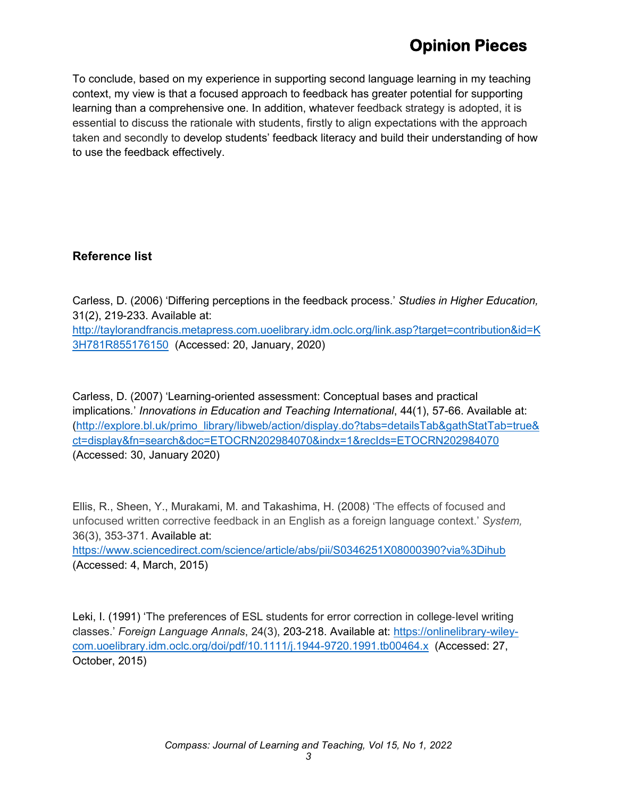# **Opinion Pieces**

To conclude, based on my experience in supporting second language learning in my teaching context, my view is that a focused approach to feedback has greater potential for supporting learning than a comprehensive one. In addition, whatever feedback strategy is adopted, it is essential to discuss the rationale with students, firstly to align expectations with the approach taken and secondly to develop students' feedback literacy and build their understanding of how to use the feedback effectively.

#### **Reference list**

Carless, D. (2006) 'Differing perceptions in the feedback process.' *Studies in Higher Education,*  31(2), 219-233. Available at: [http://taylorandfrancis.metapress.com.uoelibrary.idm.oclc.org/link.asp?target=contribution&id=K](http://taylorandfrancis.metapress.com.uoelibrary.idm.oclc.org/link.asp?target=contribution&id=K3H781R855176150) [3H781R855176150](http://taylorandfrancis.metapress.com.uoelibrary.idm.oclc.org/link.asp?target=contribution&id=K3H781R855176150) (Accessed: 20, January, 2020)

Carless, D. (2007) 'Learning-oriented assessment: Conceptual bases and practical implications*.*' *Innovations in Education and Teaching International*, 44(1), 57-66. Available at: [\(http://explore.bl.uk/primo\\_library/libweb/action/display.do?tabs=detailsTab&gathStatTab=true&](http://explore.bl.uk/primo_library/libweb/action/display.do?tabs=detailsTab&gathStatTab=true&ct=display&fn=search&doc=ETOCRN202984070&indx=1&recIds=ETOCRN202984070) [ct=display&fn=search&doc=ETOCRN202984070&indx=1&recIds=ETOCRN202984070](http://explore.bl.uk/primo_library/libweb/action/display.do?tabs=detailsTab&gathStatTab=true&ct=display&fn=search&doc=ETOCRN202984070&indx=1&recIds=ETOCRN202984070) (Accessed: 30, January 2020)

Ellis, R., Sheen, Y., Murakami, M. and Takashima, H. (2008) 'The effects of focused and unfocused written corrective feedback in an English as a foreign language context.' *System,* 36(3), 353-371. Available at: <https://www.sciencedirect.com/science/article/abs/pii/S0346251X08000390?via%3Dihub>

(Accessed: 4, March, 2015)

Leki, I. (1991) 'The preferences of ESL students for error correction in college‐level writing classes.' *Foreign Language Annals*, 24(3), 203-218. Available at: [https://onlinelibrary-wiley](https://onlinelibrary-wiley-com.uoelibrary.idm.oclc.org/doi/pdf/10.1111/j.1944-9720.1991.tb00464.x)[com.uoelibrary.idm.oclc.org/doi/pdf/10.1111/j.1944-9720.1991.tb00464.x](https://onlinelibrary-wiley-com.uoelibrary.idm.oclc.org/doi/pdf/10.1111/j.1944-9720.1991.tb00464.x) (Accessed: 27, October, 2015)